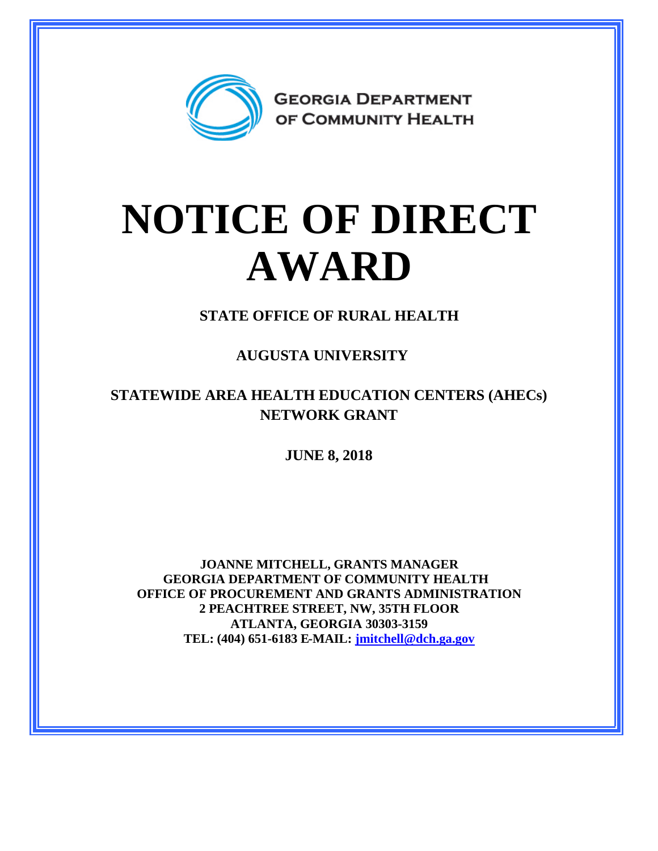

## **NOTICE OF DIRECT AWARD**

**STATE OFFICE OF RURAL HEALTH**

**AUGUSTA UNIVERSITY**

**STATEWIDE AREA HEALTH EDUCATION CENTERS (AHECs) NETWORK GRANT**

**JUNE 8, 2018**

**JOANNE MITCHELL, GRANTS MANAGER GEORGIA DEPARTMENT OF COMMUNITY HEALTH OFFICE OF PROCUREMENT AND GRANTS ADMINISTRATION 2 PEACHTREE STREET, NW, 35TH FLOOR ATLANTA, GEORGIA 30303-3159 TEL: (404) 651-6183 E-MAIL: [jmitchell@dch.ga.gov](mailto:jmitchell@dch.ga.gov)**